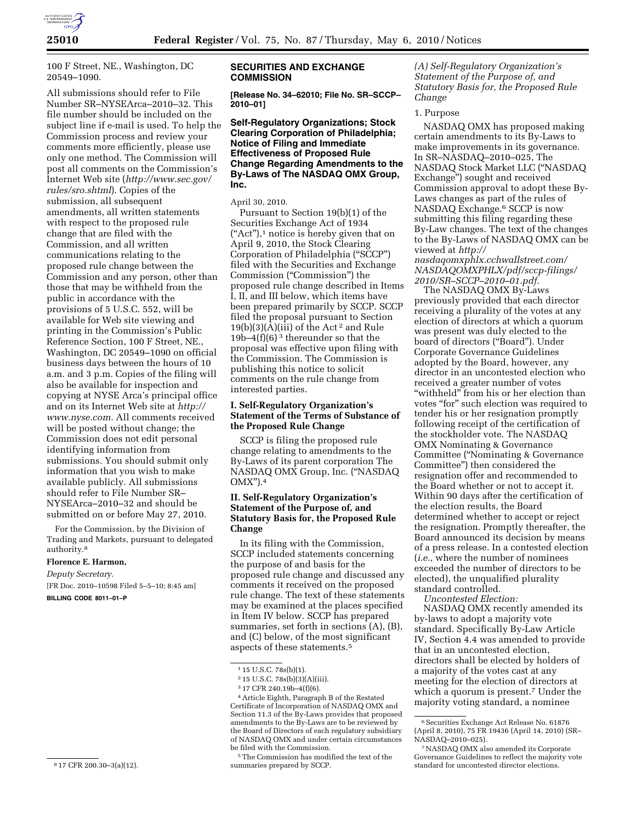

100 F Street, NE., Washington, DC 20549–1090.

All submissions should refer to File Number SR–NYSEArca–2010–32. This file number should be included on the subject line if e-mail is used. To help the Commission process and review your comments more efficiently, please use only one method. The Commission will post all comments on the Commission's Internet Web site (*http://www.sec.gov/ rules/sro.shtml*). Copies of the submission, all subsequent amendments, all written statements with respect to the proposed rule change that are filed with the Commission, and all written communications relating to the proposed rule change between the Commission and any person, other than those that may be withheld from the public in accordance with the provisions of 5 U.S.C. 552, will be available for Web site viewing and printing in the Commission's Public Reference Section, 100 F Street, NE., Washington, DC 20549–1090 on official business days between the hours of 10 a.m. and 3 p.m. Copies of the filing will also be available for inspection and copying at NYSE Arca's principal office and on its Internet Web site at *http:// www.nyse.com.* All comments received will be posted without change; the Commission does not edit personal identifying information from submissions. You should submit only information that you wish to make available publicly. All submissions should refer to File Number SR– NYSEArca–2010–32 and should be submitted on or before May 27, 2010.

For the Commission, by the Division of Trading and Markets, pursuant to delegated authority.8

#### **Florence E. Harmon,**

*Deputy Secretary.*  [FR Doc. 2010–10598 Filed 5–5–10; 8:45 am] **BILLING CODE 8011–01–P** 

#### **SECURITIES AND EXCHANGE COMMISSION**

**[Release No. 34–62010; File No. SR–SCCP– 2010–01]** 

**Self-Regulatory Organizations; Stock Clearing Corporation of Philadelphia; Notice of Filing and Immediate Effectiveness of Proposed Rule Change Regarding Amendments to the By-Laws of The NASDAQ OMX Group, Inc.** 

April 30, 2010.

Pursuant to Section 19(b)(1) of the Securities Exchange Act of 1934 (''Act''),1 notice is hereby given that on April 9, 2010, the Stock Clearing Corporation of Philadelphia (''SCCP'') filed with the Securities and Exchange Commission (''Commission'') the proposed rule change described in Items I, II, and III below, which items have been prepared primarily by SCCP. SCCP filed the proposal pursuant to Section 19(b)(3)(A)(iii) of the Act 2 and Rule 19b–4 $(f)(6)^3$  thereunder so that the proposal was effective upon filing with the Commission. The Commission is publishing this notice to solicit comments on the rule change from interested parties.

# **I. Self-Regulatory Organization's Statement of the Terms of Substance of the Proposed Rule Change**

SCCP is filing the proposed rule change relating to amendments to the By-Laws of its parent corporation The NASDAQ OMX Group, Inc. (''NASDAQ OMX'').4

## **II. Self-Regulatory Organization's Statement of the Purpose of, and Statutory Basis for, the Proposed Rule Change**

In its filing with the Commission, SCCP included statements concerning the purpose of and basis for the proposed rule change and discussed any comments it received on the proposed rule change. The text of these statements may be examined at the places specified in Item IV below. SCCP has prepared summaries, set forth in sections (A), (B), and (C) below, of the most significant aspects of these statements.5

4Article Eighth, Paragraph B of the Restated Certificate of Incorporation of NASDAQ OMX and Section 11.3 of the By-Laws provides that proposed amendments to the By-Laws are to be reviewed by the Board of Directors of each regulatory subsidiary of NASDAQ OMX and under certain circumstances be filed with the Commission.

*(A) Self-Regulatory Organization's Statement of the Purpose of, and Statutory Basis for, the Proposed Rule Change* 

#### 1. Purpose

NASDAQ OMX has proposed making certain amendments to its By-Laws to make improvements in its governance. In SR–NASDAQ–2010–025, The NASDAQ Stock Market LLC (''NASDAQ Exchange'') sought and received Commission approval to adopt these By-Laws changes as part of the rules of NASDAQ Exchange.6 SCCP is now submitting this filing regarding these By-Law changes. The text of the changes to the By-Laws of NASDAQ OMX can be viewed at *http://* 

*nasdaqomxphlx.cchwallstreet.com/ NASDAQOMXPHLX/pdf/sccp-filings/ 2010/SR–SCCP–2010–01.pdf.* 

The NASDAQ OMX By-Laws previously provided that each director receiving a plurality of the votes at any election of directors at which a quorum was present was duly elected to the board of directors (''Board''). Under Corporate Governance Guidelines adopted by the Board, however, any director in an uncontested election who received a greater number of votes "withheld" from his or her election than votes "for" such election was required to tender his or her resignation promptly following receipt of the certification of the stockholder vote. The NASDAQ OMX Nominating & Governance Committee (''Nominating & Governance Committee'') then considered the resignation offer and recommended to the Board whether or not to accept it. Within 90 days after the certification of the election results, the Board determined whether to accept or reject the resignation. Promptly thereafter, the Board announced its decision by means of a press release. In a contested election (*i.e.,* where the number of nominees exceeded the number of directors to be elected), the unqualified plurality standard controlled.

*Uncontested Election:* 

NASDAQ OMX recently amended its by-laws to adopt a majority vote standard. Specifically By-Law Article IV, Section 4.4 was amended to provide that in an uncontested election, directors shall be elected by holders of a majority of the votes cast at any meeting for the election of directors at which a quorum is present.<sup>7</sup> Under the majority voting standard, a nominee

<sup>8</sup> 17 CFR 200.30–3(a)(12).

<sup>&</sup>lt;sup>1</sup> 15 U.S.C. 78s(b)(1).

 $2\,15$  U.S.C. 78s(b)(3)(A)(iii).

<sup>3</sup> 17 CFR 240.19b–4(f)(6).

<sup>5</sup>The Commission has modified the text of the summaries prepared by SCCP.

 $^6\rm\,Scurities$  Exchange Act Release No.  $61876$ (April 8, 2010), 75 FR 19436 (April 14, 2010) (SR– NASDAQ–2010–025).

<sup>7</sup>NASDAQ OMX also amended its Corporate Governance Guidelines to reflect the majority vote standard for uncontested director elections.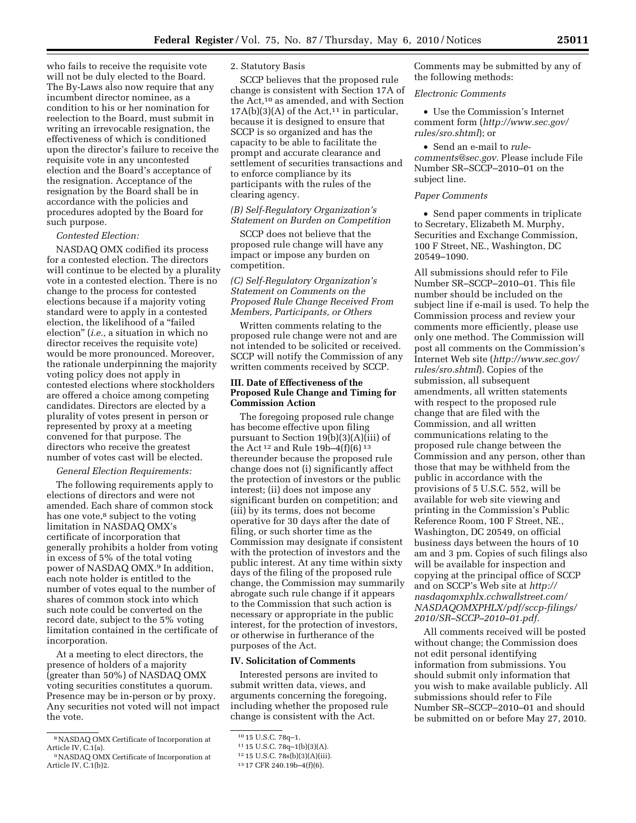who fails to receive the requisite vote will not be duly elected to the Board. The By-Laws also now require that any incumbent director nominee, as a condition to his or her nomination for reelection to the Board, must submit in writing an irrevocable resignation, the effectiveness of which is conditioned upon the director's failure to receive the requisite vote in any uncontested election and the Board's acceptance of the resignation. Acceptance of the resignation by the Board shall be in accordance with the policies and procedures adopted by the Board for such purpose.

#### *Contested Election:*

NASDAQ OMX codified its process for a contested election. The directors will continue to be elected by a plurality vote in a contested election. There is no change to the process for contested elections because if a majority voting standard were to apply in a contested election, the likelihood of a ''failed election'' (*i.e.,* a situation in which no director receives the requisite vote) would be more pronounced. Moreover, the rationale underpinning the majority voting policy does not apply in contested elections where stockholders are offered a choice among competing candidates. Directors are elected by a plurality of votes present in person or represented by proxy at a meeting convened for that purpose. The directors who receive the greatest number of votes cast will be elected.

#### *General Election Requirements:*

The following requirements apply to elections of directors and were not amended. Each share of common stock has one vote,<sup>8</sup> subject to the voting limitation in NASDAQ OMX's certificate of incorporation that generally prohibits a holder from voting in excess of 5% of the total voting power of NASDAQ OMX.9 In addition, each note holder is entitled to the number of votes equal to the number of shares of common stock into which such note could be converted on the record date, subject to the 5% voting limitation contained in the certificate of incorporation.

At a meeting to elect directors, the presence of holders of a majority (greater than 50%) of NASDAQ OMX voting securities constitutes a quorum. Presence may be in-person or by proxy. Any securities not voted will not impact the vote.

# 2. Statutory Basis

SCCP believes that the proposed rule change is consistent with Section 17A of the Act,10 as amended, and with Section  $17A(b)(3)(A)$  of the Act,<sup>11</sup> in particular, because it is designed to ensure that SCCP is so organized and has the capacity to be able to facilitate the prompt and accurate clearance and settlement of securities transactions and to enforce compliance by its participants with the rules of the clearing agency.

# *(B) Self-Regulatory Organization's Statement on Burden on Competition*

SCCP does not believe that the proposed rule change will have any impact or impose any burden on competition.

## *(C) Self-Regulatory Organization's Statement on Comments on the Proposed Rule Change Received From Members, Participants, or Others*

Written comments relating to the proposed rule change were not and are not intended to be solicited or received. SCCP will notify the Commission of any written comments received by SCCP.

## **III. Date of Effectiveness of the Proposed Rule Change and Timing for Commission Action**

The foregoing proposed rule change has become effective upon filing pursuant to Section 19(b)(3)(A)(iii) of the Act<sup>12</sup> and Rule 19b-4(f)(6)<sup>13</sup> thereunder because the proposed rule change does not (i) significantly affect the protection of investors or the public interest; (ii) does not impose any significant burden on competition; and (iii) by its terms, does not become operative for 30 days after the date of filing, or such shorter time as the Commission may designate if consistent with the protection of investors and the public interest. At any time within sixty days of the filing of the proposed rule change, the Commission may summarily abrogate such rule change if it appears to the Commission that such action is necessary or appropriate in the public interest, for the protection of investors, or otherwise in furtherance of the purposes of the Act.

#### **IV. Solicitation of Comments**

Interested persons are invited to submit written data, views, and arguments concerning the foregoing, including whether the proposed rule change is consistent with the Act.

Comments may be submitted by any of the following methods:

#### *Electronic Comments*

• Use the Commission's Internet comment form (*http://www.sec.gov/ rules/sro.shtml*); or

• Send an e-mail to *rulecomments@sec.gov.* Please include File Number SR–SCCP–2010–01 on the subject line.

#### *Paper Comments*

• Send paper comments in triplicate to Secretary, Elizabeth M. Murphy, Securities and Exchange Commission, 100 F Street, NE., Washington, DC 20549–1090.

All submissions should refer to File Number SR–SCCP–2010–01. This file number should be included on the subject line if e-mail is used. To help the Commission process and review your comments more efficiently, please use only one method. The Commission will post all comments on the Commission's Internet Web site (*http://www.sec.gov/ rules/sro.shtml*). Copies of the submission, all subsequent amendments, all written statements with respect to the proposed rule change that are filed with the Commission, and all written communications relating to the proposed rule change between the Commission and any person, other than those that may be withheld from the public in accordance with the provisions of 5 U.S.C. 552, will be available for web site viewing and printing in the Commission's Public Reference Room, 100 F Street, NE., Washington, DC 20549, on official business days between the hours of 10 am and 3 pm. Copies of such filings also will be available for inspection and copying at the principal office of SCCP and on SCCP's Web site at *http:// nasdaqomxphlx.cchwallstreet.com/ NASDAQOMXPHLX/pdf/sccp-filings/ 2010/SR–SCCP–2010–01.pdf.* 

All comments received will be posted without change; the Commission does not edit personal identifying information from submissions. You should submit only information that you wish to make available publicly. All submissions should refer to File Number SR–SCCP–2010–01 and should be submitted on or before May 27, 2010.

<sup>8</sup>NASDAQ OMX Certificate of Incorporation at Article IV, C.1(a).

<sup>9</sup>NASDAQ OMX Certificate of Incorporation at Article IV, C.1(b)2.

<sup>10</sup> 15 U.S.C. 78q–1.

<sup>11</sup> 15 U.S.C. 78q–1(b)(3)(A).

<sup>12</sup> 15 U.S.C. 78s(b)(3)(A)(iii).

<sup>13</sup> 17 CFR 240.19b–4(f)(6).